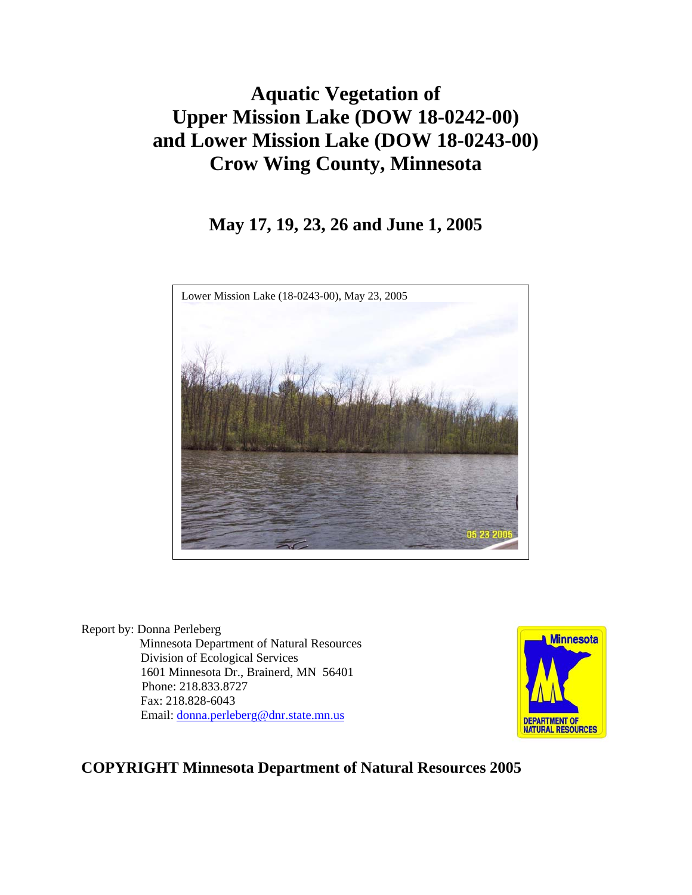# **Aquatic Vegetation of Upper Mission Lake (DOW 18-0242-00) and Lower Mission Lake (DOW 18-0243-00) Crow Wing County, Minnesota**

## **May 17, 19, 23, 26 and June 1, 2005**



Report by: Donna Perleberg Minnesota Department of Natural Resources Division of Ecological Services 1601 Minnesota Dr., Brainerd, MN 56401 Phone: 218.833.8727 Fax: 218.828-6043 Email: [donna.perleberg@dnr.state.mn.us](mailto:donna.perleberg@dnr.state.mn.us)



## **COPYRIGHT Minnesota Department of Natural Resources 2005**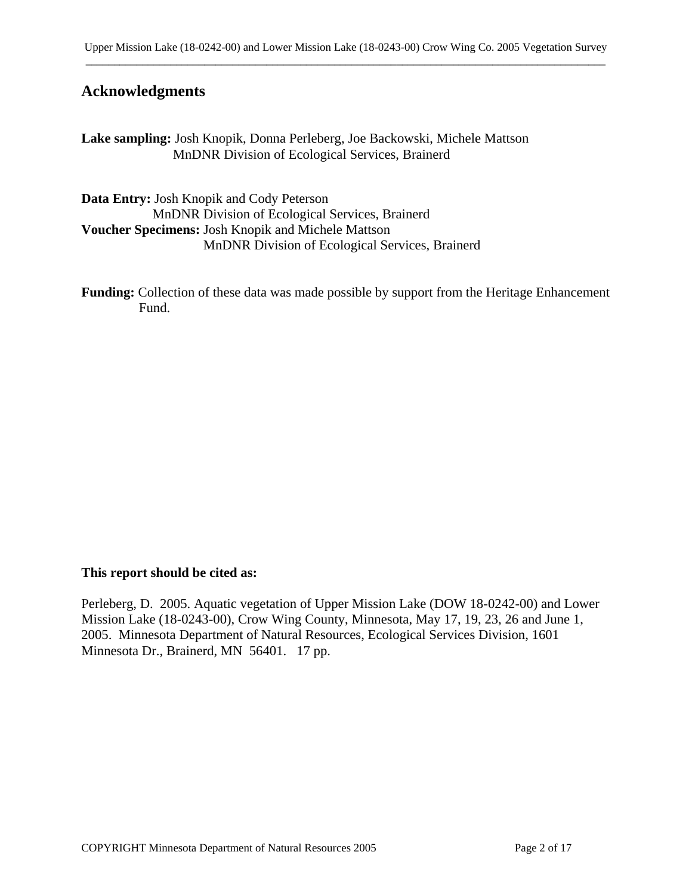## **Acknowledgments**

**Lake sampling:** Josh Knopik, Donna Perleberg, Joe Backowski, Michele Mattson MnDNR Division of Ecological Services, Brainerd

**Data Entry:** Josh Knopik and Cody Peterson MnDNR Division of Ecological Services, Brainerd **Voucher Specimens:** Josh Knopik and Michele Mattson MnDNR Division of Ecological Services, Brainerd

**Funding:** Collection of these data was made possible by support from the Heritage Enhancement Fund.

#### **This report should be cited as:**

Perleberg, D. 2005. Aquatic vegetation of Upper Mission Lake (DOW 18-0242-00) and Lower Mission Lake (18-0243-00), Crow Wing County, Minnesota, May 17, 19, 23, 26 and June 1, 2005. Minnesota Department of Natural Resources, Ecological Services Division, 1601 Minnesota Dr., Brainerd, MN 56401. 17 pp.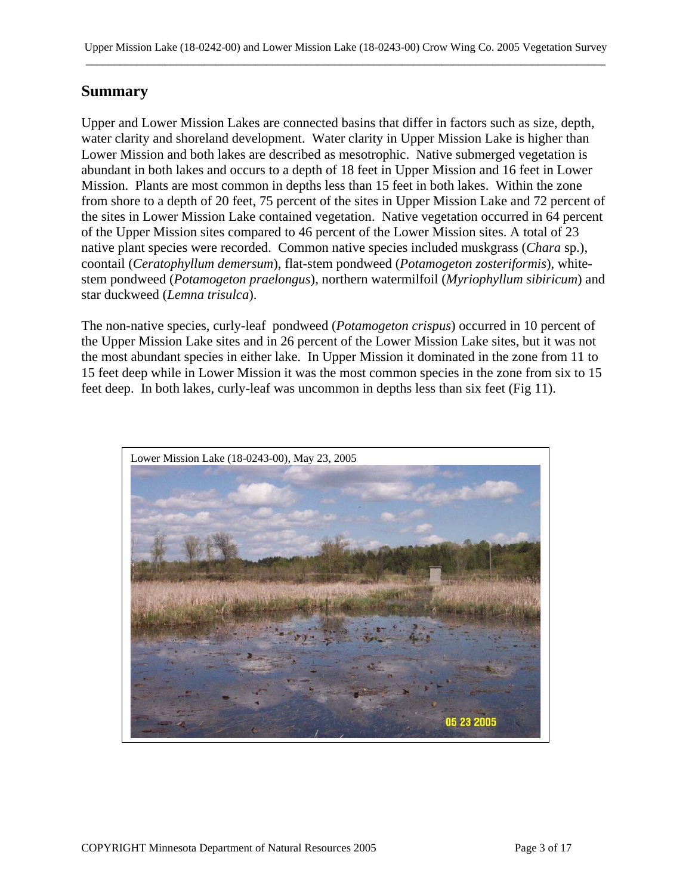## **Summary**

Upper and Lower Mission Lakes are connected basins that differ in factors such as size, depth, water clarity and shoreland development. Water clarity in Upper Mission Lake is higher than Lower Mission and both lakes are described as mesotrophic. Native submerged vegetation is abundant in both lakes and occurs to a depth of 18 feet in Upper Mission and 16 feet in Lower Mission. Plants are most common in depths less than 15 feet in both lakes. Within the zone from shore to a depth of 20 feet, 75 percent of the sites in Upper Mission Lake and 72 percent of the sites in Lower Mission Lake contained vegetation. Native vegetation occurred in 64 percent of the Upper Mission sites compared to 46 percent of the Lower Mission sites. A total of 23 native plant species were recorded. Common native species included muskgrass (*Chara* sp.), coontail (*Ceratophyllum demersum*), flat-stem pondweed (*Potamogeton zosteriformis*), whitestem pondweed (*Potamogeton praelongus*), northern watermilfoil (*Myriophyllum sibiricum*) and star duckweed (*Lemna trisulca*).

The non-native species, curly-leaf pondweed (*Potamogeton crispus*) occurred in 10 percent of the Upper Mission Lake sites and in 26 percent of the Lower Mission Lake sites, but it was not the most abundant species in either lake. In Upper Mission it dominated in the zone from 11 to 15 feet deep while in Lower Mission it was the most common species in the zone from six to 15 feet deep. In both lakes, curly-leaf was uncommon in depths less than six feet (Fig 11).

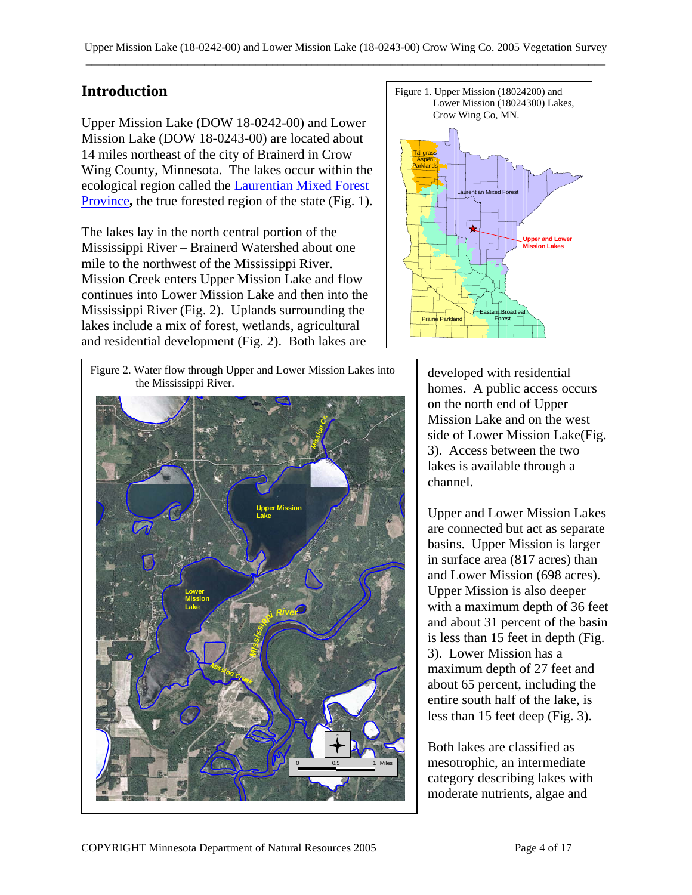## **Introduction**

Upper Mission Lake (DOW 18-0242-00) and Lower Mission Lake (DOW 18-0243-00) are located about 14 miles northeast of the city of Brainerd in Crow Wing County, Minnesota. The lakes occur within the ecological region called the [Laurentian Mixed Forest](http://www.dnr.state.mn.us/ecs/index.html)  [Province](http://www.dnr.state.mn.us/ecs/index.html), the true forested region of the state (Fig. 1).

The lakes lay in the north central portion of the Mississippi River – Brainerd Watershed about one mile to the northwest of the Mississippi River. Mission Creek enters Upper Mission Lake and flow continues into Lower Mission Lake and then into the Mississippi River (Fig. 2). Uplands surrounding the lakes include a mix of forest, wetlands, agricultural and residential development (Fig. 2). Both lakes are



Figure 2. Water flow through Upper and Lower Mission Lakes into developed with residential the Mississippi River.



homes. A public access occurs on the north end of Upper Mission Lake and on the west side of Lower Mission Lake(Fig. 3). Access between the two lakes is available through a channel.

Upper and Lower Mission Lakes are connected but act as separate basins. Upper Mission is larger in surface area (817 acres) than and Lower Mission (698 acres). Upper Mission is also deeper with a maximum depth of 36 feet and about 31 percent of the basin is less than 15 feet in depth (Fig. 3). Lower Mission has a maximum depth of 27 feet and about 65 percent, including the entire south half of the lake, is less than 15 feet deep (Fig. 3).

Both lakes are classified as mesotrophic, an intermediate category describing lakes with moderate nutrients, algae and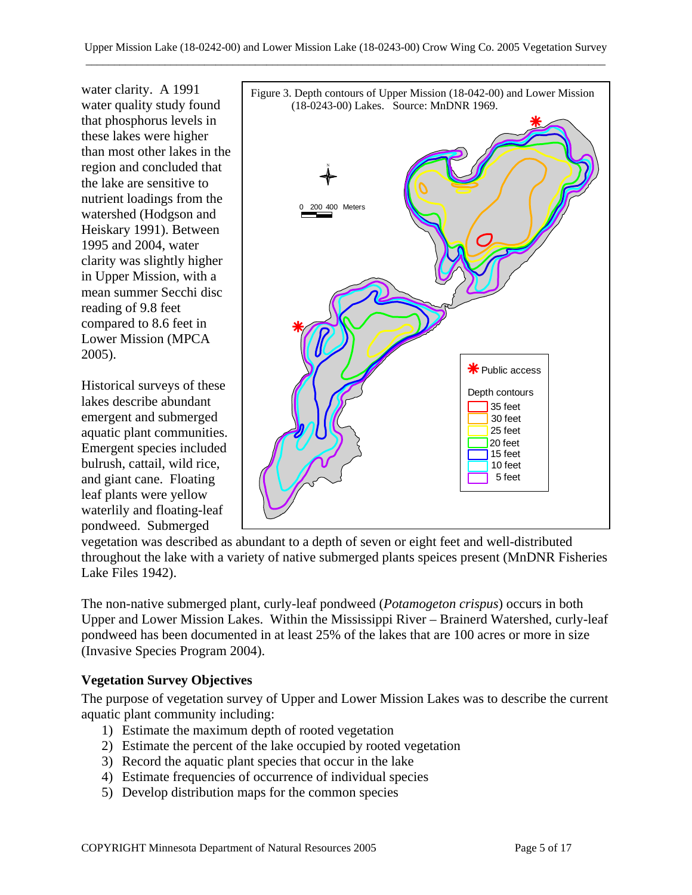water clarity. A 1991 water quality study found that phosphorus levels in these lakes were higher than most other lakes in the region and concluded that the lake are sensitive to nutrient loadings from the watershed (Hodgson and Heiskary 1991). Between 1995 and 2004, water clarity was slightly higher in Upper Mission, with a mean summer Secchi disc reading of 9.8 feet compared to 8.6 feet in Lower Mission (MPCA 2005).

Historical surveys of these lakes describe abundant emergent and submerged aquatic plant communities. Emergent species included bulrush, cattail, wild rice, and giant cane. Floating leaf plants were yellow waterlily and floating-leaf pondweed. Submerged



vegetation was described as abundant to a depth of seven or eight feet and well-distributed throughout the lake with a variety of native submerged plants speices present (MnDNR Fisheries Lake Files 1942).

The non-native submerged plant, curly-leaf pondweed (*Potamogeton crispus*) occurs in both Upper and Lower Mission Lakes. Within the Mississippi River – Brainerd Watershed, curly-leaf pondweed has been documented in at least 25% of the lakes that are 100 acres or more in size (Invasive Species Program 2004).

## **Vegetation Survey Objectives**

The purpose of vegetation survey of Upper and Lower Mission Lakes was to describe the current aquatic plant community including:

- 1) Estimate the maximum depth of rooted vegetation
- 2) Estimate the percent of the lake occupied by rooted vegetation
- 3) Record the aquatic plant species that occur in the lake
- 4) Estimate frequencies of occurrence of individual species
- 5) Develop distribution maps for the common species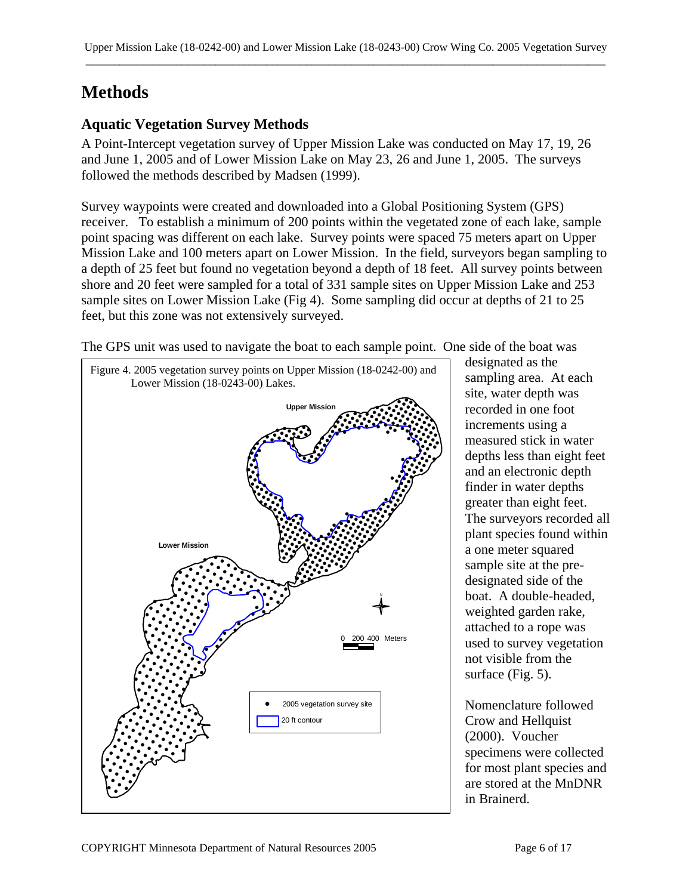# **Methods**

## **Aquatic Vegetation Survey Methods**

A Point-Intercept vegetation survey of Upper Mission Lake was conducted on May 17, 19, 26 and June 1, 2005 and of Lower Mission Lake on May 23, 26 and June 1, 2005. The surveys followed the methods described by Madsen (1999).

Survey waypoints were created and downloaded into a Global Positioning System (GPS) receiver. To establish a minimum of 200 points within the vegetated zone of each lake, sample point spacing was different on each lake. Survey points were spaced 75 meters apart on Upper Mission Lake and 100 meters apart on Lower Mission. In the field, surveyors began sampling to a depth of 25 feet but found no vegetation beyond a depth of 18 feet. All survey points between shore and 20 feet were sampled for a total of 331 sample sites on Upper Mission Lake and 253 sample sites on Lower Mission Lake (Fig 4). Some sampling did occur at depths of 21 to 25 feet, but this zone was not extensively surveyed.

The GPS unit was used to navigate the boat to each sample point. One side of the boat was



designated as the sampling area. At each site, water depth was recorded in one foot increments using a measured stick in water depths less than eight feet and an electronic depth finder in water depths greater than eight feet. The surveyors recorded all plant species found within a one meter squared sample site at the predesignated side of the boat. A double-headed, weighted garden rake, attached to a rope was used to survey vegetation not visible from the surface (Fig. 5).

Nomenclature followed Crow and Hellquist (2000). Voucher specimens were collected for most plant species and are stored at the MnDNR in Brainerd.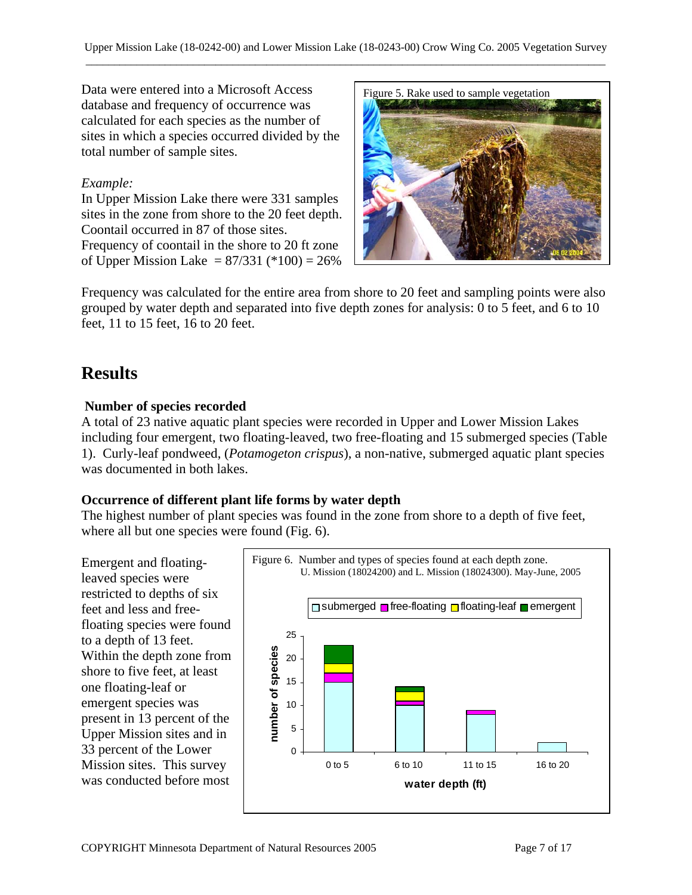Data were entered into a Microsoft Access database and frequency of occurrence was calculated for each species as the number of sites in which a species occurred divided by the total number of sample sites.

#### *Example:*

In Upper Mission Lake there were 331 samples sites in the zone from shore to the 20 feet depth. Coontail occurred in 87 of those sites. Frequency of coontail in the shore to 20 ft zone of Upper Mission Lake =  $87/331$  (\*100) =  $26\%$ 



Frequency was calculated for the entire area from shore to 20 feet and sampling points were also grouped by water depth and separated into five depth zones for analysis: 0 to 5 feet, and 6 to 10 feet, 11 to 15 feet, 16 to 20 feet.

## **Results**

#### **Number of species recorded**

A total of 23 native aquatic plant species were recorded in Upper and Lower Mission Lakes including four emergent, two floating-leaved, two free-floating and 15 submerged species (Table 1). Curly-leaf pondweed, (*Potamogeton crispus*), a non-native, submerged aquatic plant species was documented in both lakes.

#### **Occurrence of different plant life forms by water depth**

The highest number of plant species was found in the zone from shore to a depth of five feet, where all but one species were found (Fig. 6).

leaved species were restricted to depths of six feet and less and freefloating species were found to a depth of 13 feet. Within the depth zone from shore to five feet, at least one floating-leaf or emergent species was present in 13 percent of the Upper Mission sites and in 33 percent of the Lower Mission sites. This survey was conducted before most

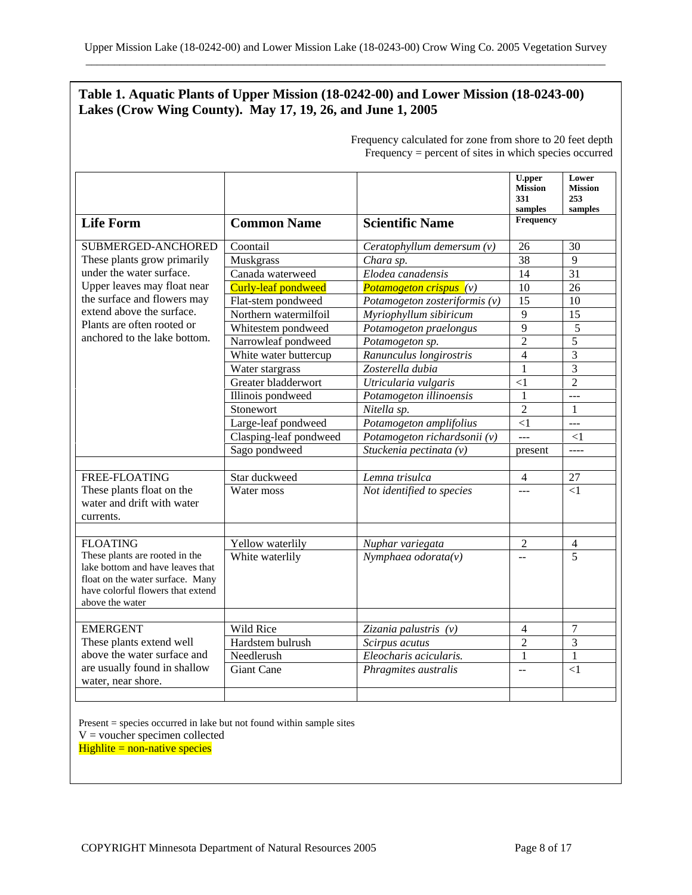#### **Table 1. Aquatic Plants of Upper Mission (18-0242-00) and Lower Mission (18-0243-00) Lakes (Crow Wing County). May 17, 19, 26, and June 1, 2005**

|                                                                                                                                                                                                                                        |                        |                                  | <b>U.pper</b><br><b>Mission</b><br>331<br>samples | Lower<br><b>Mission</b><br>253<br>samples |
|----------------------------------------------------------------------------------------------------------------------------------------------------------------------------------------------------------------------------------------|------------------------|----------------------------------|---------------------------------------------------|-------------------------------------------|
| <b>Life Form</b>                                                                                                                                                                                                                       | <b>Common Name</b>     | <b>Scientific Name</b>           | Frequency                                         |                                           |
| SUBMERGED-ANCHORED<br>These plants grow primarily<br>under the water surface.<br>Upper leaves may float near<br>the surface and flowers may<br>extend above the surface.<br>Plants are often rooted or<br>anchored to the lake bottom. | Coontail               | Ceratophyllum demersum $(v)$     | 26                                                | 30                                        |
|                                                                                                                                                                                                                                        | Muskgrass              | Chara sp.                        | 38                                                | 9                                         |
|                                                                                                                                                                                                                                        | Canada waterweed       | Elodea canadensis                | 14                                                | 31                                        |
|                                                                                                                                                                                                                                        | Curly-leaf pondweed    | <b>Potamogeton crispus</b> $(v)$ | 10                                                | 26                                        |
|                                                                                                                                                                                                                                        | Flat-stem pondweed     | Potamogeton zosteriformis $(v)$  | 15                                                | 10                                        |
|                                                                                                                                                                                                                                        | Northern watermilfoil  | Myriophyllum sibiricum           | 9                                                 | 15                                        |
|                                                                                                                                                                                                                                        | Whitestem pondweed     | Potamogeton praelongus           | 9                                                 | 5                                         |
|                                                                                                                                                                                                                                        | Narrowleaf pondweed    | Potamogeton sp.                  | $\overline{2}$                                    | $\overline{5}$                            |
|                                                                                                                                                                                                                                        | White water buttercup  | Ranunculus longirostris          | $\overline{4}$                                    | $\overline{3}$                            |
|                                                                                                                                                                                                                                        | Water stargrass        | Zosterella dubia                 | 1                                                 | 3                                         |
|                                                                                                                                                                                                                                        | Greater bladderwort    | Utricularia vulgaris             | $<$ 1                                             | $\overline{2}$                            |
|                                                                                                                                                                                                                                        | Illinois pondweed      | Potamogeton illinoensis          | 1                                                 | $\frac{1}{2}$                             |
|                                                                                                                                                                                                                                        | Stonewort              | Nitella sp.                      | $\overline{2}$                                    | $\mathbf{1}$                              |
|                                                                                                                                                                                                                                        | Large-leaf pondweed    | Potamogeton amplifolius          | $\leq$ 1                                          | $ -$                                      |
|                                                                                                                                                                                                                                        | Clasping-leaf pondweed | Potamogeton richardsonii (v)     | $\overline{a}$                                    | $\leq$ 1                                  |
|                                                                                                                                                                                                                                        | Sago pondweed          | Stuckenia pectinata (v)          | present                                           | $\frac{1}{2}$                             |
|                                                                                                                                                                                                                                        |                        |                                  |                                                   |                                           |
| FREE-FLOATING                                                                                                                                                                                                                          | Star duckweed          | Lemna trisulca                   | $\overline{4}$                                    | 27                                        |
| These plants float on the<br>water and drift with water<br>currents.                                                                                                                                                                   | Water moss             | Not identified to species        | $\sim$                                            | $\leq$ 1                                  |
| <b>FLOATING</b>                                                                                                                                                                                                                        | Yellow waterlily       | Nuphar variegata                 | $\overline{2}$                                    | 4                                         |
| These plants are rooted in the<br>lake bottom and have leaves that<br>float on the water surface. Many<br>have colorful flowers that extend<br>above the water                                                                         | White waterlily        | Nymphaea odorata $(v)$           | $\frac{1}{2}$                                     | $\overline{5}$                            |
| <b>EMERGENT</b>                                                                                                                                                                                                                        | Wild Rice              | Zizania palustris (v)            | $\overline{4}$                                    | 7                                         |
| These plants extend well<br>above the water surface and<br>are usually found in shallow<br>water, near shore.                                                                                                                          | Hardstem bulrush       | Scirpus acutus                   | $\overline{2}$                                    | $\overline{3}$                            |
|                                                                                                                                                                                                                                        | Needlerush             | Eleocharis acicularis.           | 1                                                 | $\mathbf{1}$                              |
|                                                                                                                                                                                                                                        | <b>Giant Cane</b>      | Phragmites australis             | $\sim$                                            | $\leq$ 1                                  |
|                                                                                                                                                                                                                                        |                        |                                  |                                                   |                                           |

Frequency calculated for zone from shore to 20 feet depth Frequency = percent of sites in which species occurred

Present = species occurred in lake but not found within sample sites  $V =$  voucher specimen collected  $H$ ighlite = non-native species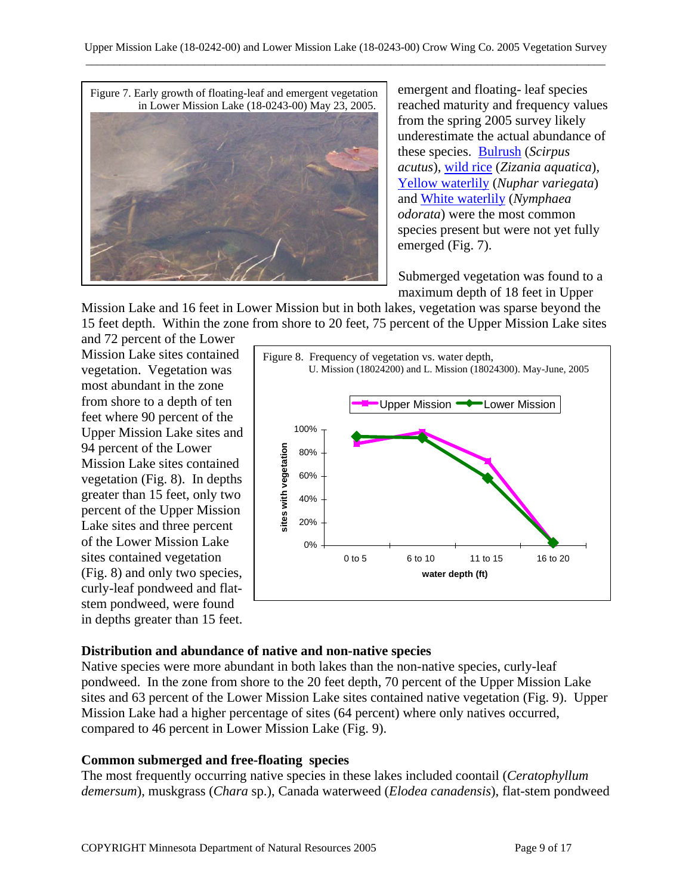

emergent and floating- leaf species reached maturity and frequency values from the spring 2005 survey likely underestimate the actual abundance of these species. [Bulrush](http://www.dnr.state.mn.us/aquatic_plants/emergent_plants/bulrushes.html) (*Scirpus acutus*), [wild rice](http://www.dnr.state.mn.us/aquatic_plants/emergent_plants/wildrice.html) (*Zizania aquatica*), [Yellow waterlily](http://www.dnr.state.mn.us/aquatic_plants/floatingleaf_plants/spatterdock.html) (*Nuphar variegata*) and [White waterlily](http://www.dnr.state.mn.us/aquatic_plants/floatingleaf_plants/white_water_lily.html) (*Nymphaea odorata*) were the most common species present but were not yet fully emerged (Fig. 7).

Submerged vegetation was found to a maximum depth of 18 feet in Upper

Mission Lake and 16 feet in Lower Mission but in both lakes, vegetation was sparse beyond the 15 feet depth. Within the zone from shore to 20 feet, 75 percent of the Upper Mission Lake sites

and 72 percent of the Lower Mission Lake sites contained vegetation. Vegetation was most abundant in the zone from shore to a depth of ten feet where 90 percent of the Upper Mission Lake sites and 94 percent of the Lower Mission Lake sites contained vegetation (Fig. 8). In depths greater than 15 feet, only two percent of the Upper Mission Lake sites and three percent of the Lower Mission Lake sites contained vegetation (Fig. 8) and only two species, curly-leaf pondweed and flatstem pondweed, were found in depths greater than 15 feet.



#### **Distribution and abundance of native and non-native species**

Native species were more abundant in both lakes than the non-native species, curly-leaf pondweed. In the zone from shore to the 20 feet depth, 70 percent of the Upper Mission Lake sites and 63 percent of the Lower Mission Lake sites contained native vegetation (Fig. 9). Upper Mission Lake had a higher percentage of sites (64 percent) where only natives occurred, compared to 46 percent in Lower Mission Lake (Fig. 9).

#### **Common submerged and free-floating species**

The most frequently occurring native species in these lakes included coontail (*Ceratophyllum demersum*), muskgrass (*Chara* sp.), Canada waterweed (*Elodea canadensis*), flat-stem pondweed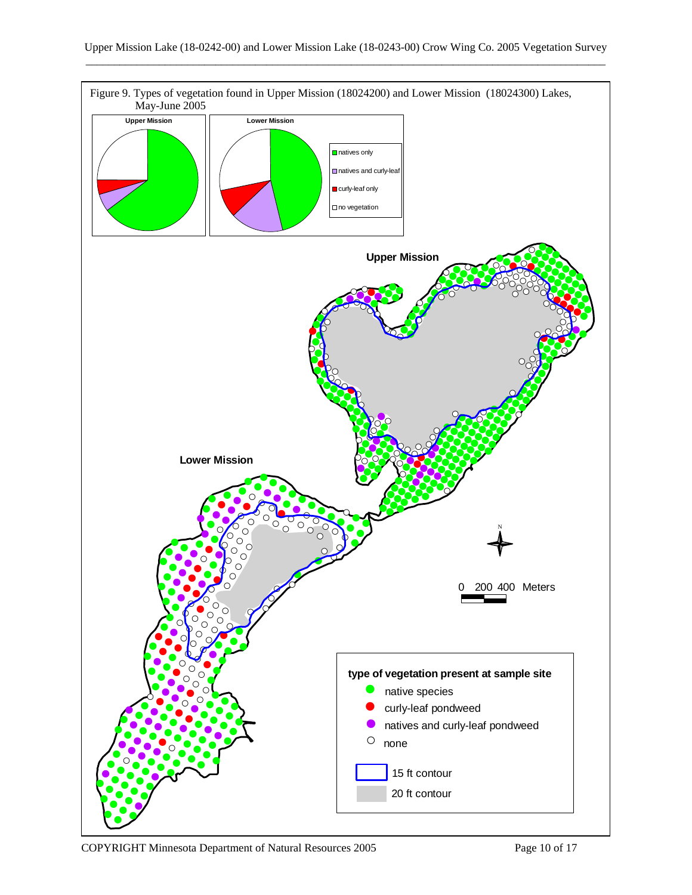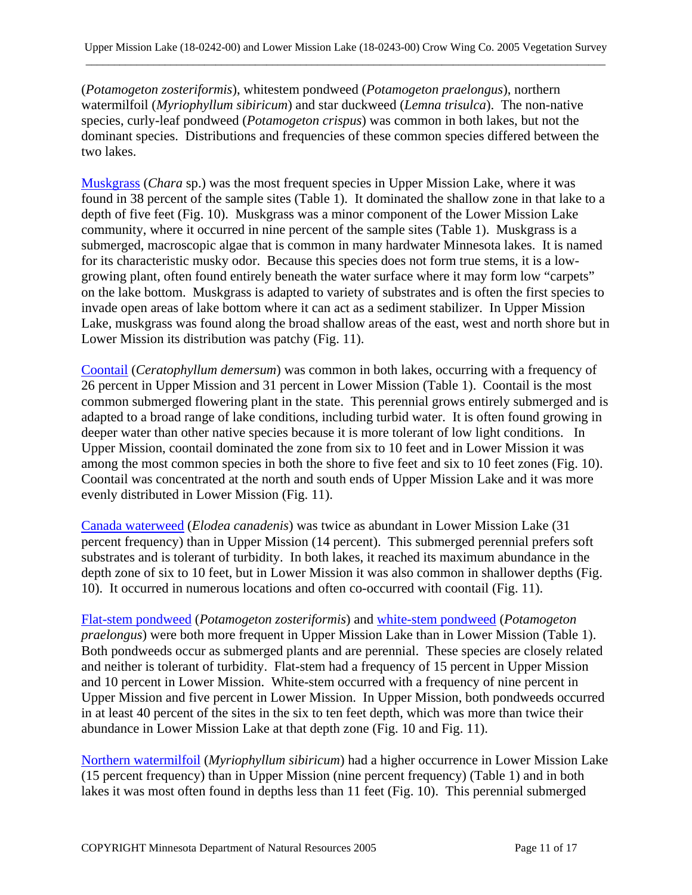(*Potamogeton zosteriformis*), whitestem pondweed (*Potamogeton praelongus*), northern watermilfoil (*Myriophyllum sibiricum*) and star duckweed (*Lemna trisulca*). The non-native species, curly-leaf pondweed (*Potamogeton crispus*) was common in both lakes, but not the dominant species. Distributions and frequencies of these common species differed between the two lakes.

[Muskgrass](http://www.dnr.state.mn.us/aquatic_plants/algae/chara.html) (*Chara* sp.) was the most frequent species in Upper Mission Lake, where it was found in 38 percent of the sample sites (Table 1). It dominated the shallow zone in that lake to a depth of five feet (Fig. 10). Muskgrass was a minor component of the Lower Mission Lake community, where it occurred in nine percent of the sample sites (Table 1). Muskgrass is a submerged, macroscopic algae that is common in many hardwater Minnesota lakes. It is named for its characteristic musky odor. Because this species does not form true stems, it is a lowgrowing plant, often found entirely beneath the water surface where it may form low "carpets" on the lake bottom. Muskgrass is adapted to variety of substrates and is often the first species to invade open areas of lake bottom where it can act as a sediment stabilizer. In Upper Mission Lake, muskgrass was found along the broad shallow areas of the east, west and north shore but in Lower Mission its distribution was patchy (Fig. 11).

[Coontail](http://www.dnr.state.mn.us/aquatic_plants/submerged_plants/coontail.html) (*Ceratophyllum demersum*) was common in both lakes, occurring with a frequency of 26 percent in Upper Mission and 31 percent in Lower Mission (Table 1). Coontail is the most common submerged flowering plant in the state. This perennial grows entirely submerged and is adapted to a broad range of lake conditions, including turbid water. It is often found growing in deeper water than other native species because it is more tolerant of low light conditions. In Upper Mission, coontail dominated the zone from six to 10 feet and in Lower Mission it was among the most common species in both the shore to five feet and six to 10 feet zones (Fig. 10). Coontail was concentrated at the north and south ends of Upper Mission Lake and it was more evenly distributed in Lower Mission (Fig. 11).

[Canada waterweed](http://www.dnr.state.mn.us/aquatic_plants/submerged_plants/canada_waterweed.html) (*Elodea canadenis*) was twice as abundant in Lower Mission Lake (31 percent frequency) than in Upper Mission (14 percent). This submerged perennial prefers soft substrates and is tolerant of turbidity. In both lakes, it reached its maximum abundance in the depth zone of six to 10 feet, but in Lower Mission it was also common in shallower depths (Fig. 10). It occurred in numerous locations and often co-occurred with coontail (Fig. 11).

[Flat-stem pondweed](http://www.dnr.state.mn.us/aquatic_plants/submerged_plants/narrowleaf_pondweeds.html) (*Potamogeton zosteriformis*) and [white-stem pondweed](http://www.dnr.state.mn.us/aquatic_plants/submerged_plants/broadleaf_pondweeds.html) (*Potamogeton praelongus*) were both more frequent in Upper Mission Lake than in Lower Mission (Table 1). Both pondweeds occur as submerged plants and are perennial. These species are closely related and neither is tolerant of turbidity. Flat-stem had a frequency of 15 percent in Upper Mission and 10 percent in Lower Mission. White-stem occurred with a frequency of nine percent in Upper Mission and five percent in Lower Mission. In Upper Mission, both pondweeds occurred in at least 40 percent of the sites in the six to ten feet depth, which was more than twice their abundance in Lower Mission Lake at that depth zone (Fig. 10 and Fig. 11).

[Northern watermilfoil](http://www.dnr.state.mn.us/aquatic_plants/submerged_plants/northern_watermilfoil.html) (*Myriophyllum sibiricum*) had a higher occurrence in Lower Mission Lake (15 percent frequency) than in Upper Mission (nine percent frequency) (Table 1) and in both lakes it was most often found in depths less than 11 feet (Fig. 10). This perennial submerged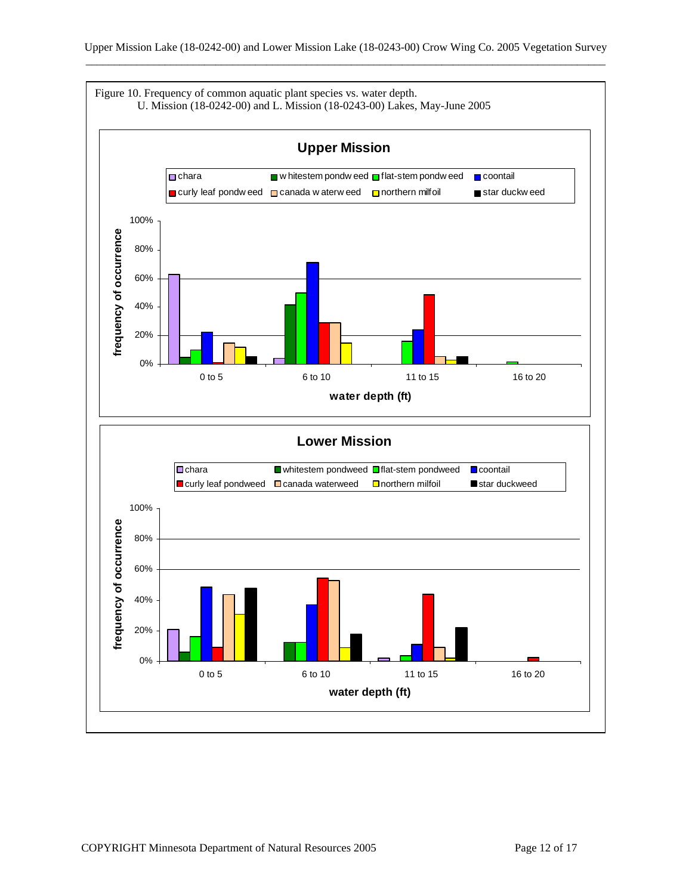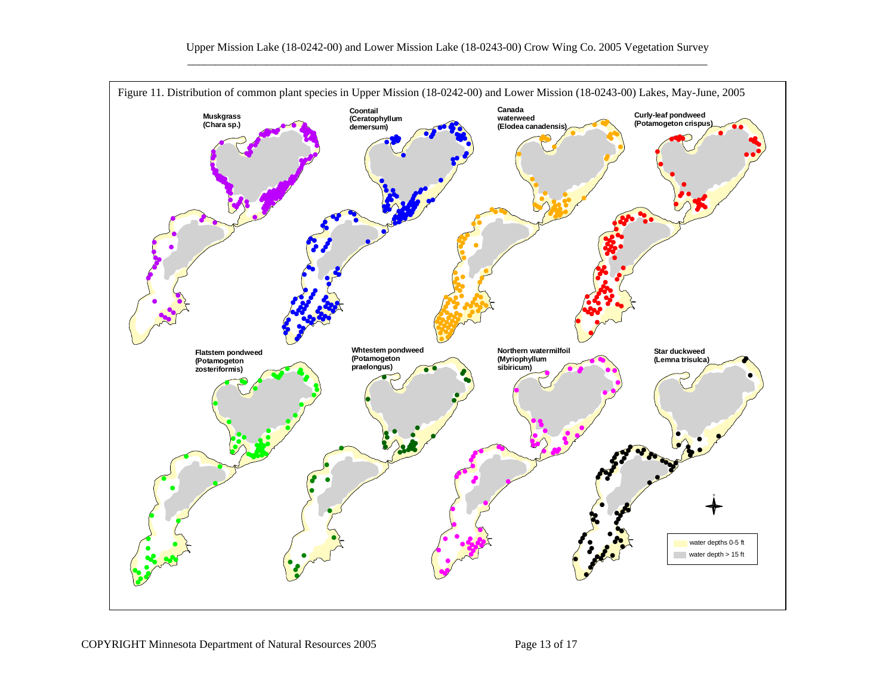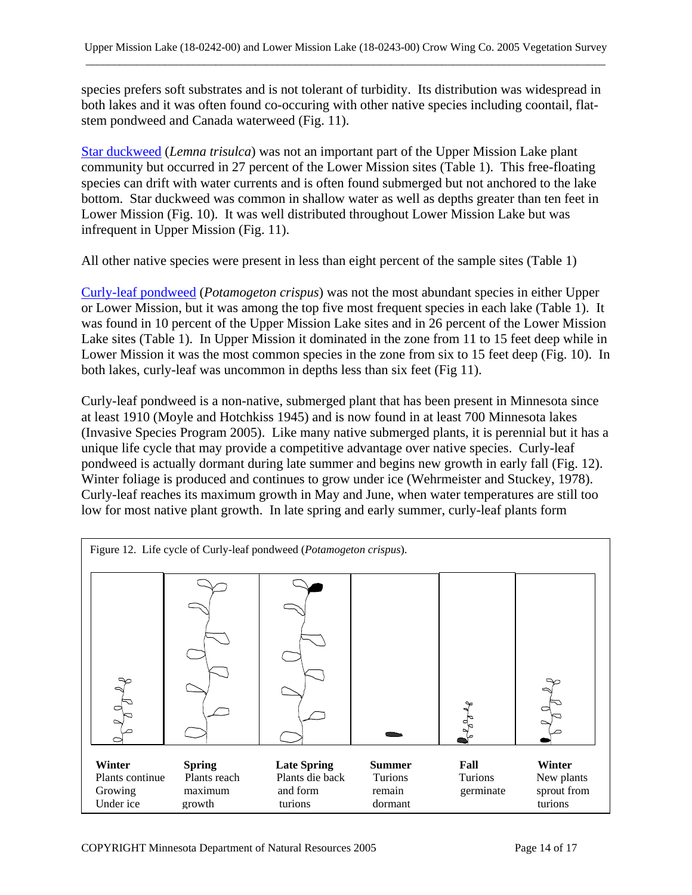species prefers soft substrates and is not tolerant of turbidity. Its distribution was widespread in both lakes and it was often found co-occuring with other native species including coontail, flatstem pondweed and Canada waterweed (Fig. 11).

[Star duckweed](http://www.dnr.state.mn.us/aquatic_plants/floatingleaf_plants/duckweeds.html) (*Lemna trisulca*) was not an important part of the Upper Mission Lake plant community but occurred in 27 percent of the Lower Mission sites (Table 1). This free-floating species can drift with water currents and is often found submerged but not anchored to the lake bottom. Star duckweed was common in shallow water as well as depths greater than ten feet in Lower Mission (Fig. 10). It was well distributed throughout Lower Mission Lake but was infrequent in Upper Mission (Fig. 11).

All other native species were present in less than eight percent of the sample sites (Table 1)

[Curly-leaf pondweed](http://www.dnr.state.mn.us/aquatic_plants/submerged_plants/curlyleaf_pondweed.html) (*Potamogeton crispus*) was not the most abundant species in either Upper or Lower Mission, but it was among the top five most frequent species in each lake (Table 1). It was found in 10 percent of the Upper Mission Lake sites and in 26 percent of the Lower Mission Lake sites (Table 1). In Upper Mission it dominated in the zone from 11 to 15 feet deep while in Lower Mission it was the most common species in the zone from six to 15 feet deep (Fig. 10). In both lakes, curly-leaf was uncommon in depths less than six feet (Fig 11).

Curly-leaf pondweed is a non-native, submerged plant that has been present in Minnesota since at least 1910 (Moyle and Hotchkiss 1945) and is now found in at least 700 Minnesota lakes (Invasive Species Program 2005). Like many native submerged plants, it is perennial but it has a unique life cycle that may provide a competitive advantage over native species. Curly-leaf pondweed is actually dormant during late summer and begins new growth in early fall (Fig. 12). Winter foliage is produced and continues to grow under ice (Wehrmeister and Stuckey, 1978). Curly-leaf reaches its maximum growth in May and June, when water temperatures are still too low for most native plant growth. In late spring and early summer, curly-leaf plants form

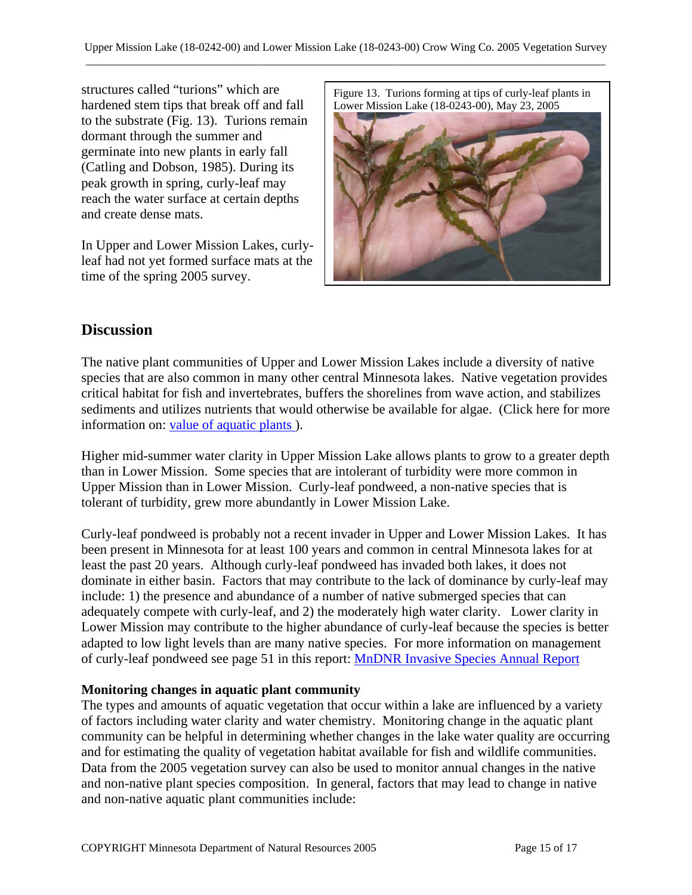structures called "turions" which are hardened stem tips that break off and fall to the substrate (Fig. 13). Turions remain dormant through the summer and germinate into new plants in early fall (Catling and Dobson, 1985). During its peak growth in spring, curly-leaf may reach the water surface at certain depths and create dense mats.

In Upper and Lower Mission Lakes, curlyleaf had not yet formed surface mats at the time of the spring 2005 survey.

Figure 13. Turions forming at tips of curly-leaf plants in Lower Mission Lake (18-0243-00), May 23, 2005



## **Discussion**

The native plant communities of Upper and Lower Mission Lakes include a diversity of native species that are also common in many other central Minnesota lakes. Native vegetation provides critical habitat for fish and invertebrates, buffers the shorelines from wave action, and stabilizes sediments and utilizes nutrients that would otherwise be available for algae. (Click here for more information on: [value of aquatic plants](http://www.dnr.state.mn.us/shorelandmgmt/apg/value.html) ).

Higher mid-summer water clarity in Upper Mission Lake allows plants to grow to a greater depth than in Lower Mission. Some species that are intolerant of turbidity were more common in Upper Mission than in Lower Mission. Curly-leaf pondweed, a non-native species that is tolerant of turbidity, grew more abundantly in Lower Mission Lake.

Curly-leaf pondweed is probably not a recent invader in Upper and Lower Mission Lakes. It has been present in Minnesota for at least 100 years and common in central Minnesota lakes for at least the past 20 years. Although curly-leaf pondweed has invaded both lakes, it does not dominate in either basin. Factors that may contribute to the lack of dominance by curly-leaf may include: 1) the presence and abundance of a number of native submerged species that can adequately compete with curly-leaf, and 2) the moderately high water clarity. Lower clarity in Lower Mission may contribute to the higher abundance of curly-leaf because the species is better adapted to low light levels than are many native species. For more information on management of curly-leaf pondweed see page 51 in this report: [MnDNR Invasive Species Annual Report](http://files.dnr.state.mn.us/ecological_services/invasives/annualreport.pdf) 

#### **Monitoring changes in aquatic plant community**

The types and amounts of aquatic vegetation that occur within a lake are influenced by a variety of factors including water clarity and water chemistry. Monitoring change in the aquatic plant community can be helpful in determining whether changes in the lake water quality are occurring and for estimating the quality of vegetation habitat available for fish and wildlife communities. Data from the 2005 vegetation survey can also be used to monitor annual changes in the native and non-native plant species composition. In general, factors that may lead to change in native and non-native aquatic plant communities include: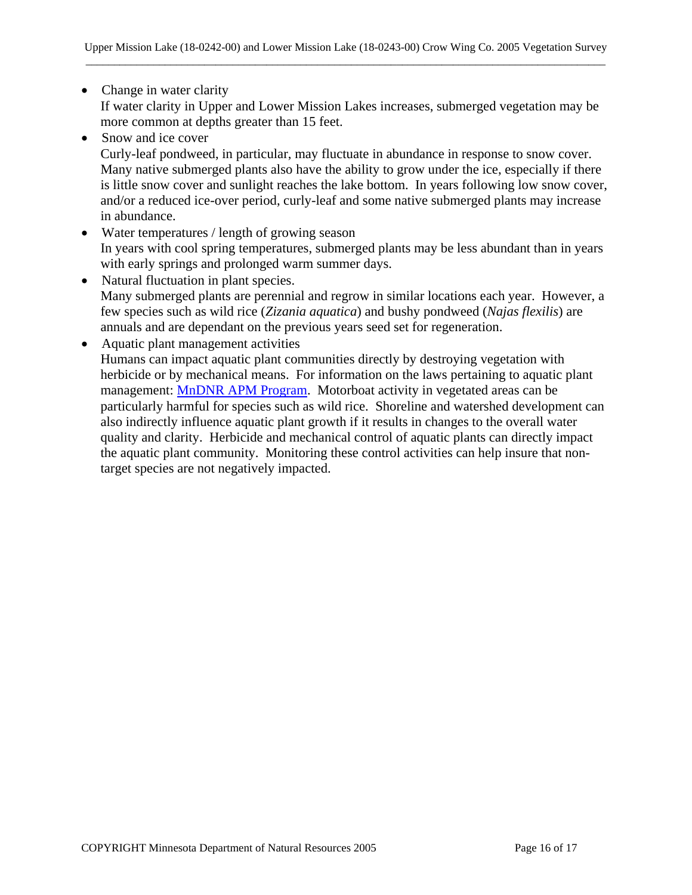- Change in water clarity If water clarity in Upper and Lower Mission Lakes increases, submerged vegetation may be more common at depths greater than 15 feet.
- Snow and ice cover

Curly-leaf pondweed, in particular, may fluctuate in abundance in response to snow cover. Many native submerged plants also have the ability to grow under the ice, especially if there is little snow cover and sunlight reaches the lake bottom. In years following low snow cover, and/or a reduced ice-over period, curly-leaf and some native submerged plants may increase in abundance.

- Water temperatures / length of growing season In years with cool spring temperatures, submerged plants may be less abundant than in years with early springs and prolonged warm summer days.
- Natural fluctuation in plant species. Many submerged plants are perennial and regrow in similar locations each year. However, a few species such as wild rice (*Zizania aquatica*) and bushy pondweed (*Najas flexilis*) are annuals and are dependant on the previous years seed set for regeneration.
- Aquatic plant management activities Humans can impact aquatic plant communities directly by destroying vegetation with herbicide or by mechanical means. For information on the laws pertaining to aquatic plant management: [MnDNR APM Program.](http://www.dnr.state.mn.us/ecological_services/apm/index.html) Motorboat activity in vegetated areas can be particularly harmful for species such as wild rice. Shoreline and watershed development can also indirectly influence aquatic plant growth if it results in changes to the overall water quality and clarity. Herbicide and mechanical control of aquatic plants can directly impact the aquatic plant community. Monitoring these control activities can help insure that nontarget species are not negatively impacted.